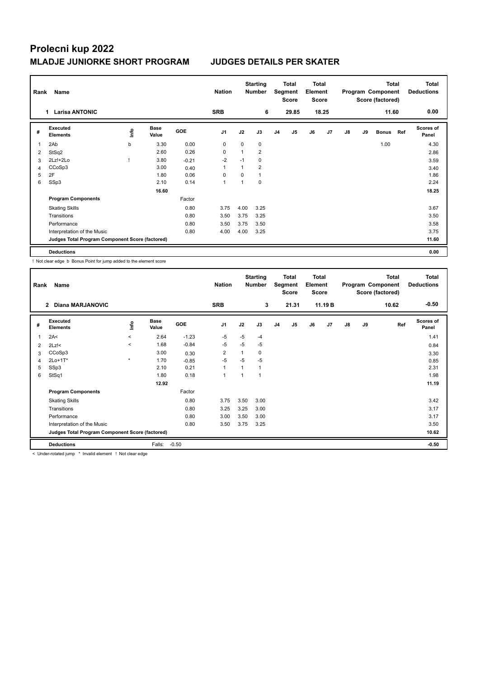## **Prolecni kup 2022 MLADJE JUNIORKE SHORT PROGRAM JUDGES DETAILS PER SKATER**

| Rank           | Name                                            | <b>Nation</b> | <b>Starting</b><br><b>Number</b> |            | Total<br>Segment<br><b>Score</b> |          | <b>Total</b><br>Element<br><b>Score</b> |                |                |    | <b>Total</b><br>Program Component<br>Score (factored) |    | Total<br><b>Deductions</b> |              |     |                           |
|----------------|-------------------------------------------------|---------------|----------------------------------|------------|----------------------------------|----------|-----------------------------------------|----------------|----------------|----|-------------------------------------------------------|----|----------------------------|--------------|-----|---------------------------|
|                | <b>Larisa ANTONIC</b><br>1.                     |               |                                  |            |                                  |          | 6                                       |                | 29.85          |    | 18.25                                                 |    |                            | 11.60        |     | 0.00                      |
| #              | Executed<br><b>Elements</b>                     | lnfo          | <b>Base</b><br>Value             | <b>GOE</b> | J <sub>1</sub>                   | J2       | J3                                      | J <sub>4</sub> | J <sub>5</sub> | J6 | J <sub>7</sub>                                        | J8 | J9                         | <b>Bonus</b> | Ref | <b>Scores of</b><br>Panel |
| 1              | 2Ab                                             | b             | 3.30                             | 0.00       | 0                                | $\Omega$ | 0                                       |                |                |    |                                                       |    |                            | 1.00         |     | 4.30                      |
| 2              | StSq2                                           |               | 2.60                             | 0.26       | 0                                |          | $\overline{2}$                          |                |                |    |                                                       |    |                            |              |     | 2.86                      |
| 3              | 2Lz!+2Lo                                        |               | 3.80                             | $-0.21$    | $-2$                             | $-1$     | 0                                       |                |                |    |                                                       |    |                            |              |     | 3.59                      |
| $\overline{4}$ | CCoSp3                                          |               | 3.00                             | 0.40       | 1                                |          | $\overline{2}$                          |                |                |    |                                                       |    |                            |              |     | 3.40                      |
| 5              | 2F                                              |               | 1.80                             | 0.06       | $\Omega$                         | $\Omega$ | 1                                       |                |                |    |                                                       |    |                            |              |     | 1.86                      |
| 6              | SSp3                                            |               | 2.10                             | 0.14       | $\overline{1}$                   |          | 0                                       |                |                |    |                                                       |    |                            |              |     | 2.24                      |
|                |                                                 |               | 16.60                            |            |                                  |          |                                         |                |                |    |                                                       |    |                            |              |     | 18.25                     |
|                | <b>Program Components</b>                       |               |                                  | Factor     |                                  |          |                                         |                |                |    |                                                       |    |                            |              |     |                           |
|                | <b>Skating Skills</b>                           |               |                                  | 0.80       | 3.75                             | 4.00     | 3.25                                    |                |                |    |                                                       |    |                            |              |     | 3.67                      |
|                | Transitions                                     |               |                                  | 0.80       | 3.50                             | 3.75     | 3.25                                    |                |                |    |                                                       |    |                            |              |     | 3.50                      |
|                | Performance                                     |               |                                  | 0.80       | 3.50                             | 3.75     | 3.50                                    |                |                |    |                                                       |    |                            |              |     | 3.58                      |
|                | Interpretation of the Music                     |               |                                  | 0.80       | 4.00                             | 4.00     | 3.25                                    |                |                |    |                                                       |    |                            |              |     | 3.75                      |
|                | Judges Total Program Component Score (factored) |               |                                  |            |                                  |          |                                         |                |                |    |                                                       |    |                            |              |     | 11.60                     |
|                | <b>Deductions</b>                               |               |                                  |            |                                  |          |                                         |                |                |    |                                                       |    |                            |              |     | 0.00                      |

! Not clear edge b Bonus Point for jump added to the element score

|                | Name<br>Rank                                    |         |                      |         | <b>Nation</b>  |      | <b>Starting</b><br><b>Number</b> | Total<br>Segment<br><b>Score</b> |       | <b>Total</b><br>Element<br><b>Score</b> |         | Program Component<br>Score (factored) |    | <b>Total</b> | <b>Total</b><br><b>Deductions</b> |
|----------------|-------------------------------------------------|---------|----------------------|---------|----------------|------|----------------------------------|----------------------------------|-------|-----------------------------------------|---------|---------------------------------------|----|--------------|-----------------------------------|
|                | <b>Diana MARJANOVIC</b><br>$\overline{2}$       |         |                      |         | <b>SRB</b>     |      | 3                                |                                  | 21.31 |                                         | 11.19 B |                                       |    | 10.62        | $-0.50$                           |
| #              | Executed<br><b>Elements</b>                     | ١nf٥    | <b>Base</b><br>Value | GOE     | J1             | J2   | J3                               | J <sub>4</sub>                   | J5    | J6                                      | J7      | J8                                    | J9 | Ref          | Scores of<br>Panel                |
| 1              | 2A<                                             | $\prec$ | 2.64                 | $-1.23$ | $-5$           | $-5$ | $-4$                             |                                  |       |                                         |         |                                       |    |              | 1.41                              |
| $\overline{2}$ | $2Lz$ !<                                        | $\,<\,$ | 1.68                 | $-0.84$ | -5             | $-5$ | $-5$                             |                                  |       |                                         |         |                                       |    |              | 0.84                              |
| 3              | CCoSp3                                          |         | 3.00                 | 0.30    | $\overline{2}$ |      | 0                                |                                  |       |                                         |         |                                       |    |              | 3.30                              |
| 4              | $2Lo+1T*$                                       | $\star$ | 1.70                 | $-0.85$ | $-5$           | $-5$ | $-5$                             |                                  |       |                                         |         |                                       |    |              | 0.85                              |
| 5              | SSp3                                            |         | 2.10                 | 0.21    | $\overline{1}$ |      | 1                                |                                  |       |                                         |         |                                       |    |              | 2.31                              |
| 6              | StSq1                                           |         | 1.80                 | 0.18    | 1              |      | $\mathbf{1}$                     |                                  |       |                                         |         |                                       |    |              | 1.98                              |
|                |                                                 |         | 12.92                |         |                |      |                                  |                                  |       |                                         |         |                                       |    |              | 11.19                             |
|                | <b>Program Components</b>                       |         |                      | Factor  |                |      |                                  |                                  |       |                                         |         |                                       |    |              |                                   |
|                | <b>Skating Skills</b>                           |         |                      | 0.80    | 3.75           | 3.50 | 3.00                             |                                  |       |                                         |         |                                       |    |              | 3.42                              |
|                | Transitions                                     |         |                      | 0.80    | 3.25           | 3.25 | 3.00                             |                                  |       |                                         |         |                                       |    |              | 3.17                              |
|                | Performance                                     |         |                      | 0.80    | 3.00           | 3.50 | 3.00                             |                                  |       |                                         |         |                                       |    |              | 3.17                              |
|                | Interpretation of the Music                     |         |                      | 0.80    | 3.50           | 3.75 | 3.25                             |                                  |       |                                         |         |                                       |    |              | 3.50                              |
|                | Judges Total Program Component Score (factored) |         |                      |         |                |      |                                  |                                  |       |                                         |         |                                       |    |              | 10.62                             |
|                | <b>Deductions</b>                               |         | Falls:               | $-0.50$ |                |      |                                  |                                  |       |                                         |         |                                       |    |              | $-0.50$                           |

< Under-rotated jump \* Invalid element ! Not clear edge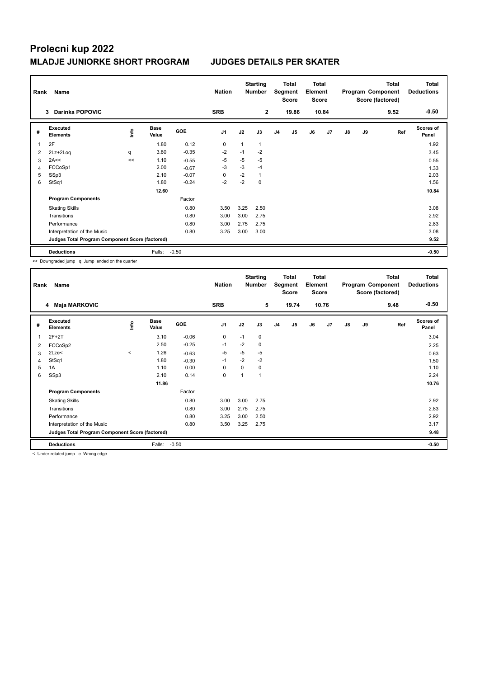## **Prolecni kup 2022 MLADJE JUNIORKE SHORT PROGRAM JUDGES DETAILS PER SKATER**

| Rank<br>Name |                                                 |             |                      |            | <b>Nation</b>  | <b>Starting</b><br><b>Number</b> |              | <b>Total</b><br>Segment<br><b>Score</b> |                | <b>Total</b><br>Element<br><b>Score</b> |                | Program Component |    | <b>Total</b><br>Score (factored) | Total<br><b>Deductions</b> |
|--------------|-------------------------------------------------|-------------|----------------------|------------|----------------|----------------------------------|--------------|-----------------------------------------|----------------|-----------------------------------------|----------------|-------------------|----|----------------------------------|----------------------------|
|              | <b>Darinka POPOVIC</b><br>3                     |             |                      |            | <b>SRB</b>     |                                  | $\mathbf{2}$ |                                         | 19.86          |                                         | 10.84          |                   |    | 9.52                             | $-0.50$                    |
| #            | Executed<br><b>Elements</b>                     | <u>info</u> | <b>Base</b><br>Value | <b>GOE</b> | J <sub>1</sub> | J2                               | J3           | J <sub>4</sub>                          | J <sub>5</sub> | J6                                      | J <sub>7</sub> | J8                | J9 | Ref                              | <b>Scores of</b><br>Panel  |
| 1            | 2F                                              |             | 1.80                 | 0.12       | 0              |                                  | 1            |                                         |                |                                         |                |                   |    |                                  | 1.92                       |
| 2            | 2Lz+2Loq                                        | q           | 3.80                 | $-0.35$    | $-2$           | $-1$                             | $-2$         |                                         |                |                                         |                |                   |    |                                  | 3.45                       |
| 3            | 2A<<                                            | <<          | 1.10                 | $-0.55$    | -5             | -5                               | $-5$         |                                         |                |                                         |                |                   |    |                                  | 0.55                       |
| 4            | FCCoSp1                                         |             | 2.00                 | $-0.67$    | -3             | $-3$                             | $-4$         |                                         |                |                                         |                |                   |    |                                  | 1.33                       |
| 5            | SSp3                                            |             | 2.10                 | $-0.07$    | $\Omega$       | $-2$                             | 1            |                                         |                |                                         |                |                   |    |                                  | 2.03                       |
| 6            | StSq1                                           |             | 1.80                 | $-0.24$    | $-2$           | $-2$                             | 0            |                                         |                |                                         |                |                   |    |                                  | 1.56                       |
|              |                                                 |             | 12.60                |            |                |                                  |              |                                         |                |                                         |                |                   |    |                                  | 10.84                      |
|              | <b>Program Components</b>                       |             |                      | Factor     |                |                                  |              |                                         |                |                                         |                |                   |    |                                  |                            |
|              | <b>Skating Skills</b>                           |             |                      | 0.80       | 3.50           | 3.25                             | 2.50         |                                         |                |                                         |                |                   |    |                                  | 3.08                       |
|              | Transitions                                     |             |                      | 0.80       | 3.00           | 3.00                             | 2.75         |                                         |                |                                         |                |                   |    |                                  | 2.92                       |
|              | Performance                                     |             |                      | 0.80       | 3.00           | 2.75                             | 2.75         |                                         |                |                                         |                |                   |    |                                  | 2.83                       |
|              | Interpretation of the Music                     |             |                      | 0.80       | 3.25           | 3.00                             | 3.00         |                                         |                |                                         |                |                   |    |                                  | 3.08                       |
|              | Judges Total Program Component Score (factored) |             |                      |            |                |                                  |              |                                         |                |                                         |                |                   |    |                                  | 9.52                       |
|              | <b>Deductions</b>                               |             | Falls:               | $-0.50$    |                |                                  |              |                                         |                |                                         |                |                   |    |                                  | $-0.50$                    |

<< Downgraded jump q Jump landed on the quarter

| Rank | Name                                            |       |                      |         | <b>Nation</b>  | <b>Starting</b><br><b>Number</b> |      | <b>Total</b><br>Segment<br><b>Score</b> |       | <b>Total</b><br>Element<br><b>Score</b> |       | Program Component<br>Score (factored) |    | <b>Total</b> | <b>Total</b><br><b>Deductions</b> |
|------|-------------------------------------------------|-------|----------------------|---------|----------------|----------------------------------|------|-----------------------------------------|-------|-----------------------------------------|-------|---------------------------------------|----|--------------|-----------------------------------|
|      | <b>Maja MARKOVIC</b><br>4                       |       |                      |         | <b>SRB</b>     |                                  | 5    |                                         | 19.74 |                                         | 10.76 |                                       |    | 9.48         | $-0.50$                           |
| #    | Executed<br><b>Elements</b>                     | lnfo  | <b>Base</b><br>Value | GOE     | J <sub>1</sub> | J2                               | J3   | J <sub>4</sub>                          | J5    | J6                                      | J7    | J8                                    | J9 | Ref          | <b>Scores of</b><br>Panel         |
| 1    | $2F+2T$                                         |       | 3.10                 | $-0.06$ | 0              | $-1$                             | 0    |                                         |       |                                         |       |                                       |    |              | 3.04                              |
| 2    | FCCoSp2                                         |       | 2.50                 | $-0.25$ | $-1$           | $-2$                             | 0    |                                         |       |                                         |       |                                       |    |              | 2.25                              |
| 3    | 2Lze<                                           | $\,<$ | 1.26                 | $-0.63$ | $-5$           | $-5$                             | $-5$ |                                         |       |                                         |       |                                       |    |              | 0.63                              |
| 4    | StSq1                                           |       | 1.80                 | $-0.30$ | $-1$           | $-2$                             | $-2$ |                                         |       |                                         |       |                                       |    |              | 1.50                              |
| 5    | 1A                                              |       | 1.10                 | 0.00    | 0              | $\Omega$                         | 0    |                                         |       |                                         |       |                                       |    |              | 1.10                              |
| 6    | SSp3                                            |       | 2.10                 | 0.14    | 0              |                                  | 1    |                                         |       |                                         |       |                                       |    |              | 2.24                              |
|      |                                                 |       | 11.86                |         |                |                                  |      |                                         |       |                                         |       |                                       |    |              | 10.76                             |
|      | <b>Program Components</b>                       |       |                      | Factor  |                |                                  |      |                                         |       |                                         |       |                                       |    |              |                                   |
|      | <b>Skating Skills</b>                           |       |                      | 0.80    | 3.00           | 3.00                             | 2.75 |                                         |       |                                         |       |                                       |    |              | 2.92                              |
|      | Transitions                                     |       |                      | 0.80    | 3.00           | 2.75                             | 2.75 |                                         |       |                                         |       |                                       |    |              | 2.83                              |
|      | Performance                                     |       |                      | 0.80    | 3.25           | 3.00                             | 2.50 |                                         |       |                                         |       |                                       |    |              | 2.92                              |
|      | Interpretation of the Music                     |       |                      | 0.80    | 3.50           | 3.25                             | 2.75 |                                         |       |                                         |       |                                       |    |              | 3.17                              |
|      | Judges Total Program Component Score (factored) |       |                      |         |                |                                  |      |                                         |       |                                         |       |                                       |    |              | 9.48                              |
|      | <b>Deductions</b>                               |       | Falls:               | $-0.50$ |                |                                  |      |                                         |       |                                         |       |                                       |    |              | $-0.50$                           |

< Under-rotated jump e Wrong edge